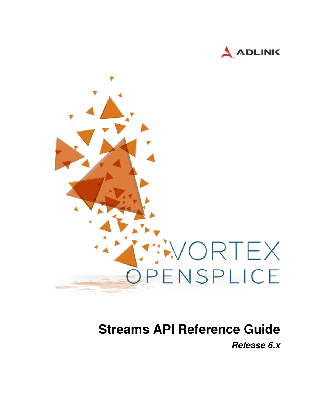



# **Streams API Reference Guide** *Release 6.x*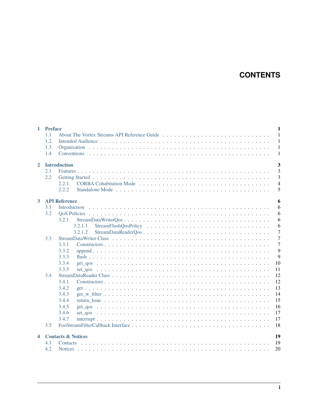# **CONTENTS**

| $\mathbf{1}$         | <b>Preface</b> |                               | $\mathbf{1}$   |
|----------------------|----------------|-------------------------------|----------------|
|                      | 1.1            |                               | $\mathbf{1}$   |
|                      | 1.2            |                               | $\mathbf{1}$   |
|                      | 1.3            |                               | $\mathbf{1}$   |
|                      | 1.4            |                               | $\mathbf{1}$   |
| $\mathbf{2}$         |                | <b>Introduction</b>           | 3              |
|                      | 2.1            |                               | 3              |
|                      | 2.2            |                               | 3              |
|                      |                | 2.2.1                         | $\overline{4}$ |
|                      |                | 2.2.2                         | 5              |
| 3                    |                | <b>API Reference</b>          | 6              |
|                      | 3.1            | Introduction                  | 6              |
|                      | 3.2            |                               | 6              |
|                      |                | 3.2.1                         | 6              |
|                      |                | 3.2.1.1                       | 6              |
|                      |                | 3.2.1.2                       | $\overline{7}$ |
|                      | 3.3            |                               | $\overline{7}$ |
|                      |                | 3.3.1                         | $\overline{7}$ |
|                      |                | 3.3.2                         | 9              |
|                      |                | 3.3.3                         | 9              |
|                      |                | 3.3.4                         | 10             |
|                      |                | 3.3.5                         | 11             |
|                      | 3.4            |                               | 12             |
|                      |                | 3.4.1                         | 12             |
|                      |                | 3.4.2                         | 13             |
|                      |                | 3.4.3                         | 14             |
|                      |                | 3.4.4                         | 15             |
|                      |                | 3.4.5                         | 16             |
|                      |                | 3.4.6                         | 17             |
|                      |                | 3.4.7                         | 17             |
|                      | 3.5            |                               | 18             |
| $\blacktriangleleft$ |                | <b>Contacts &amp; Notices</b> | 19             |
|                      | 4.1            |                               | 19             |
|                      | 4.2            |                               | 20             |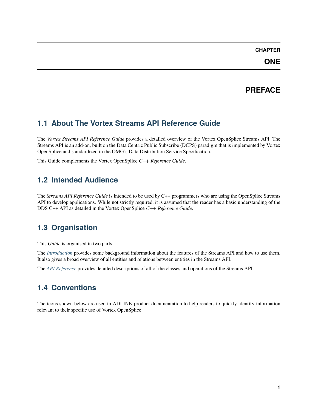# **CHAPTER**

# **PREFACE**

# <span id="page-2-1"></span><span id="page-2-0"></span>**1.1 About The Vortex Streams API Reference Guide**

The *Vortex Streams API Reference Guide* provides a detailed overview of the Vortex OpenSplice Streams API. The Streams API is an add-on, built on the Data Centric Public Subscribe (DCPS) paradigm that is implemented by Vortex OpenSplice and standardized in the OMG's Data Distribution Service Specification.

This Guide complements the Vortex OpenSplice *C++ Reference Guide*.

# <span id="page-2-2"></span>**1.2 Intended Audience**

The *Streams API Reference Guide* is intended to be used by C++ programmers who are using the OpenSplice Streams API to develop applications. While not strictly required, it is assumed that the reader has a basic understanding of the DDS C++ API as detailed in the Vortex OpenSplice *C++ Reference Guide*.

# <span id="page-2-3"></span>**1.3 Organisation**

This *Guide* is organised in two parts.

The *[Introduction](#page-4-0)* provides some background information about the features of the Streams API and how to use them. It also gives a broad overview of all entities and relations between entities in the Streams API.

The *[API Reference](#page-7-0)* provides detailed descriptions of all of the classes and operations of the Streams API.

# <span id="page-2-4"></span>**1.4 Conventions**

The icons shown below are used in ADLINK product documentation to help readers to quickly identify information relevant to their specific use of Vortex OpenSplice.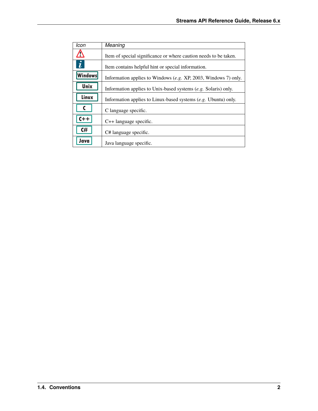| Icon                  | Meaning                                                          |
|-----------------------|------------------------------------------------------------------|
| י י                   | Item of special significance or where caution needs to be taken. |
| $\boldsymbol{\theta}$ | Item contains helpful hint or special information.               |
| <b>Windows</b>        | Information applies to Windows (e.g. XP, 2003, Windows 7) only.  |
| <b>Unix</b>           | Information applies to Unix-based systems (e.g. Solaris) only.   |
| Linux                 | Information applies to Linux-based systems (e.g. Ubuntu) only.   |
|                       | C language specific.                                             |
| $C++$                 | $C++$ language specific.                                         |
| C#                    | C# language specific.                                            |
| Java                  | Java language specific.                                          |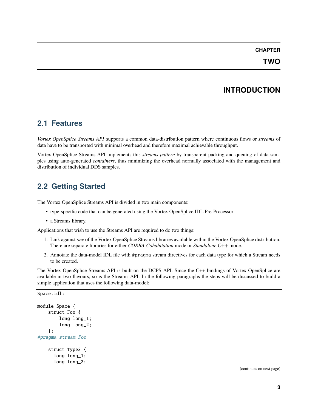# **CHAPTER**

# **INTRODUCTION**

# <span id="page-4-1"></span><span id="page-4-0"></span>**2.1 Features**

*Vortex OpenSplice Streams API* supports a common data-distribution pattern where continuous flows or *streams* of data have to be transported with minimal overhead and therefore maximal achievable throughput.

Vortex OpenSplice Streams API implements this *streams pattern* by transparent packing and queuing of data samples using auto-generated *containers*, thus minimizing the overhead normally associated with the management and distribution of individual DDS samples.

# <span id="page-4-2"></span>**2.2 Getting Started**

The Vortex OpenSplice Streams API is divided in two main components:

- type-specific code that can be generated using the Vortex OpenSplice IDL Pre-Processor
- a Streams library.

Applications that wish to use the Streams API are required to do two things:

- 1. Link against *one* of the Vortex OpenSplice Streams libraries available within the Vortex OpenSplice distribution. There are separate libraries for either *CORBA-Cohabitation* mode or *Standalone C++* mode.
- 2. Annotate the data-model IDL file with #pragma stream directives for each data type for which a Stream needs to be created.

The Vortex OpenSplice Streams API is built on the DCPS API. Since the C++ bindings of Vortex OpenSplice are available in two flavours, so is the Streams API. In the following paragraphs the steps will be discussed to build a simple application that uses the following data-model:

```
Space.idl:
module Space {
    struct Foo {
        long long_1;
        long long_2;
    };
#pragma stream Foo
    struct Type2 {
      long long_1;
      long long_2;
```
(continues on next page)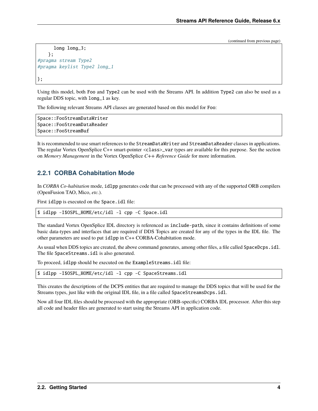(continued from previous page)

```
long long_3;
    };
#pragma stream Type2
#pragma keylist Type2 long_1
};
```
Using this model, both Foo and Type2 can be used with the Streams API. In addition Type2 can also be used as a regular DDS topic, with long\_1 as key.

The following relevant Streams API classes are generated based on this model for Foo:

```
Space::FooStreamDataWriter
Space::FooStreamDataReader
Space::FooStreamBuf
```
It is recommended to use smart references to the StreamDataWriter and StreamDataReader classes in applications. The regular Vortex OpenSplice C++ smart-pointer <class>\_var types are available for this purpose. See the section on *Memory Management* in the Vortex OpenSplice *C++ Reference Guide* for more information.

# <span id="page-5-0"></span>**2.2.1 CORBA Cohabitation Mode**

In *CORBA Co-habitation* mode, idlpp generates code that can be processed with any of the supported ORB compilers (OpenFusion TAO, Mico, *etc.*).

First idlpp is executed on the Space.idl file:

```
$ idlpp -I$OSPL_HOME/etc/idl -l cpp -C Space.idl
```
The standard Vortex OpenSplice IDL directory is referenced as include-path, since it contains definitions of some basic data-types and interfaces that are required if DDS Topics are created for any of the types in the IDL file. The other parameters are used to put idlpp in C++ CORBA-Cohabitation mode.

As usual when DDS topics are created, the above command generates, among other files, a file called SpaceDcps.idl. The file SpaceStreams.idl is also generated.

To proceed, idlpp should be executed on the ExampleStreams.idl file:

```
$ idlpp -I$OSPL_HOME/etc/idl -l cpp -C SpaceStreams.idl
```
This creates the descriptions of the DCPS entities that are required to manage the DDS topics that will be used for the Streams types, just like with the original IDL file, in a file called SpaceStreamsDcps.idl.

Now all four IDL files should be processed with the appropriate (ORB-specific) CORBA IDL processor. After this step all code and header files are generated to start using the Streams API in application code.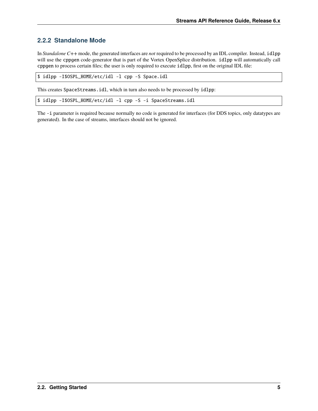# <span id="page-6-0"></span>**2.2.2 Standalone Mode**

In *Standalone C++* mode, the generated interfaces are *not* required to be processed by an IDL compiler. Instead, idlpp will use the cppgen code-generator that is part of the Vortex OpenSplice distribution. idlpp will automatically call cppgen to process certain files; the user is only required to execute idlpp, first on the original IDL file:

```
$ idlpp -I$OSPL_HOME/etc/idl -l cpp -S Space.idl
```
This creates SpaceStreams.idl, which in turn also needs to be processed by idlpp:

```
$ idlpp -I$OSPL_HOME/etc/idl -l cpp -S -i SpaceStreams.idl
```
The -i parameter is required because normally no code is generated for interfaces (for DDS topics, only datatypes are generated). In the case of streams, interfaces should not be ignored.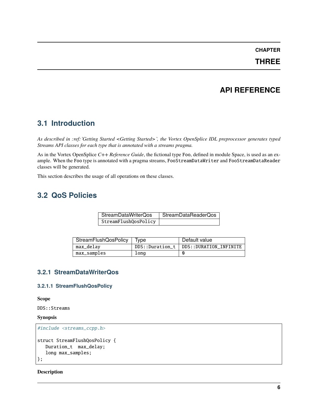# **CHAPTER**

**THREE**

# **API REFERENCE**

# <span id="page-7-1"></span><span id="page-7-0"></span>**3.1 Introduction**

*As described in :ref:`Getting Started <Getting Started>`, the Vortex OpenSplice IDL preprocessor generates typed Streams API classes for each type that is annotated with a streams pragma.*

As in the Vortex OpenSplice *C++ Reference Guide*, the fictional type Foo, defined in module Space, is used as an example. When the Foo type is annotated with a pragma streams, FooStreamDataWriter and FooStreamDataReader classes will be generated.

This section describes the usage of all operations on these classes.

# <span id="page-7-2"></span>**3.2 QoS Policies**

| StreamDataWriterQos  | StreamDataReaderQos |
|----------------------|---------------------|
| StreamFlushQosPolicy |                     |

| StreamFlushQosPolicy   Type |                 | Default value          |
|-----------------------------|-----------------|------------------------|
| max_delay                   | DDS::Duration_t | DDS::DURATION INFINITE |
| max_samples                 | Long            | O                      |

# <span id="page-7-3"></span>**3.2.1 StreamDataWriterQos**

# <span id="page-7-4"></span>**3.2.1.1 StreamFlushQosPolicy**

**Scope**

DDS::Streams

## **Synopsis**

```
#include <streams_ccpp.h>
struct StreamFlushQosPolicy {
   Duration_t max_delay;
   long max_samples;
};
```
**Description**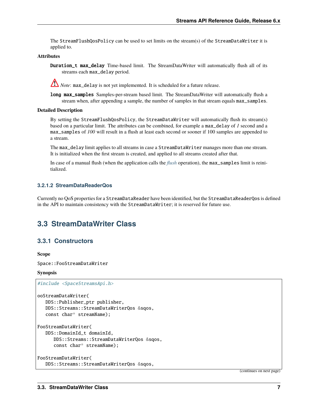The StreamFlushQosPolicy can be used to set limits on the stream(s) of the StreamDataWriter it is applied to.

### **Attributes**

Duration\_t max\_delay Time-based limit. The StreamDataWriter will automatically flush all of its streams each max\_delay period.

*Note*: max\_delay is not yet implemented. It is scheduled for a future release.

long max\_samples Samples-per-stream based limit. The StreamDataWriter will automatically flush a stream when, after appending a sample, the number of samples in that stream equals max\_samples.

#### **Detailed Description**

By setting the StreamFlushQosPolicy, the StreamDataWriter will automatically flush its stream(s) based on a particular limit. The attributes can be combined, for example a max\_delay of *1* second and a max\_samples of *100* will result in a flush at least each second or sooner if 100 samples are appended to a stream.

The max\_delay limit applies to all streams in case a StreamDataWriter manages more than one stream. It is initialized when the first stream is created, and applied to all streams created after that.

In case of a manual [flush](#page-10-1) (when the application calls the *flush* operation), the max\_samples limit is reinitialized.

# <span id="page-8-0"></span>**3.2.1.2 StreamDataReaderQos**

Currently no QoS properties for a StreamDataReader have been identified, but the StreamDataReaderQos is defined in the API to maintain consistency with the StreamDataWriter; it is reserved for future use.

# <span id="page-8-1"></span>**3.3 StreamDataWriter Class**

# <span id="page-8-2"></span>**3.3.1 Constructors**

**Scope**

Space::FooStreamDataWriter

## **Synopsis**

```
#include <SpaceStreamsApi.h>
ooStreamDataWriter(
  DDS::Publisher_ptr publisher,
  DDS::Streams::StreamDataWriterQos &sqos,
   const char* streamName);
FooStreamDataWriter(
  DDS::DomainId_t domainId,
      DDS::Streams::StreamDataWriterQos &sqos,
      const char* streamName);
FooStreamDataWriter(
   DDS::Streams::StreamDataWriterQos &sqos,
```
(continues on next page)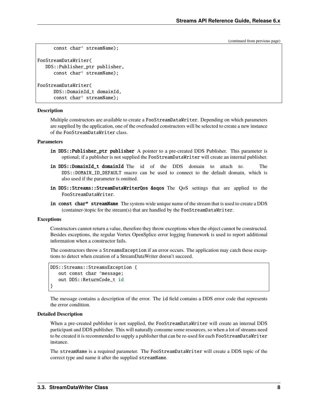(continued from previous page)

```
const char* streamName);
FooStreamDataWriter(
  DDS::Publisher_ptr publisher,
      const char* streamName);
FooStreamDataWriter(
      DDS::DomainId_t domainId,
      const char* streamName);
```
#### **Description**

Multiple constructors are available to create a FooStreamDataWriter. Depending on which parameters are supplied by the application, one of the overloaded constructors will be selected to create a new instance of the FooStreamDataWriter class.

#### **Parameters**

- in DDS:: Publisher\_ptr publisher A pointer to a pre-created DDS Publisher. This parameter is optional; if a publisher is not supplied the FooStreamDataWriter will create an internal publisher.
- in DDS::DomainId\_t domainId The id of the DDS domain to attach to. The DDS::DOMAIN\_ID\_DEFAULT\_macro can be used to connect to the default domain, which is also used if the parameter is omitted.
- in DDS::Streams::StreamDataWriterQos &sqos The QoS settings that are applied to the FooStreamDataWriter.
- in const char\* streamName The system-wide unique name of the stream that is used to create a DDS (container-)topic for the stream(s) that are handled by the FooStreamDataWriter.

### **Exceptions**

Constructors cannot return a value, therefore they throw exceptions when the object cannot be constructed. Besides exceptions, the regular Vortex OpenSplice error logging framework is used to report additional information when a constructor fails.

The constructors throw a StreamsException if an error occurs. The application may catch these exceptions to detect when creation of a StreamDataWriter doesn't succeed.

```
DDS::Streams::StreamsException {
   out const char *message;
   out DDS::ReturnCode_t id
}
```
The message contains a description of the error. The id field contains a DDS error code that represents the error condition.

#### **Detailed Description**

When a pre-created publisher is not supplied, the FooStreamDataWriter will create an internal DDS participant and DDS publisher. This will naturally consume some resources, so when a lot of streams need to be created it is recommended to supply a publisher that can be re-used for each FooStreamDataWriter instance.

The streamName is a required parameter. The FooStreamDataWriter will create a DDS topic of the correct type and name it after the supplied streamName.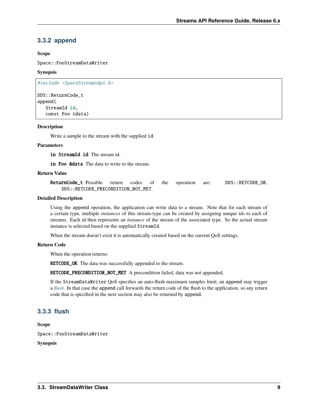# <span id="page-10-0"></span>**3.3.2 append**

# **Scope**

Space::FooStreamDataWriter

# **Synopsis**

```
#include <SpaceStreamsApi.h>
```

```
DDS::ReturnCode_t
append(
   StreamId id,
   const Foo &data)
```
# **Description**

Write a sample to the stream with the supplied id.

# **Parameters**

in StreamId id The stream id.

in Foo &data The data to write to the stream.

# **Return Value**

ReturnCode\_t Possible return codes of the operation are: DDS::RETCODE\_OK, DDS::RETCODE\_PRECONDITION\_NOT\_MET.

## **Detailed Description**

Using the append operation, the application can write data to a stream. Note that for each stream of a certain type, multiple *instances* of this stream-type can be created by assigning unique ids to each of streams. Each id then represents an *instance* of the stream of the associated type. So the actual stream instance is selected based on the supplied StreamId.

When the stream doesn't exist it is automatically created based on the current QoS settings.

## **Return Code**

When the operation returns:

RETCODE\_OK The data was successfully appended to the stream.

RETCODE\_PRECONDITION\_NOT\_MET A precondition failed, data was not appended.

If the StreamDataWriter QoS specifies an auto-flush maximum samples limit, an append may trigger a *[flush](#page-10-1)*. In that case the append call forwards the return code of the flush to the application, so any return code that is specified in the next section may also be returned by append.

# <span id="page-10-1"></span>**3.3.3 flush**

**Scope**

Space::FooStreamDataWriter

## **Synopsis**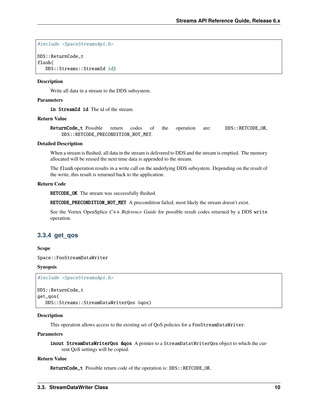#include <SpaceStreamsApi.h>

```
DDS::ReturnCode_t
flush(
   DDS::Streams::StreamId id)
```
# **Description**

Write all data in a stream to the DDS subsystem.

# **Parameters**

in StreamId id The id of the stream.

#### **Return Value**

ReturnCode\_t Possible return codes of the operation are: DDS::RETCODE\_OK, DDS::RETCODE\_PRECONDITION\_NOT\_MET.

#### **Detailed Description**

When a stream is flushed, all data in the stream is delivered to DDS and the stream is emptied. The memory allocated will be reused the next time data is appended to the stream.

The flush operation results in a write call on the underlying DDS subsystem. Depending on the result of the write, this result is returned back to the application.

# **Return Code**

RETCODE\_OK The stream was successfully flushed.

RETCODE\_PRECONDITION\_NOT\_MET A precondition failed; most likely the stream doesn't exist.

See the Vortex OpenSplice *C++ Reference Guide* for possible result codes returned by a DDS write operation.

# <span id="page-11-0"></span>**3.3.4 get\_qos**

# **Scope**

Space::FooStreamDataWriter

#### **Synopsis**

```
#include <SpaceStreamsApi.h>
```

```
DDS::ReturnCode_t
get_qos(
  DDS::Streams::StreamDataWriterQos &qos)
```
## **Description**

This operation allows access to the existing set of QoS policies for a FooStreamDataWriter.

#### **Parameters**

inout StreamDataWriterQos &qos A pointer to a StreamDatatWriterQos object to which the current QoS settings will be copied.

#### **Return Value**

ReturnCode\_t Possible return code of the operation is: DDS::RETCODE\_OK.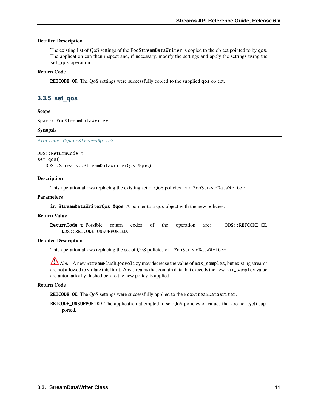# **Detailed Description**

The existing list of QoS settings of the FooStreamDataWriter is copied to the object pointed to by qos. The application can then inspect and, if necessary, modify the settings and apply the settings using the set\_qos operation.

# **Return Code**

RETCODE\_OK The QoS settings were successfully copied to the supplied qos object.

# <span id="page-12-0"></span>**3.3.5 set\_qos**

**Scope**

Space::FooStreamDataWriter

## **Synopsis**

#include <SpaceStreamsApi.h>

# DDS::ReturnCode\_t set\_qos(

DDS::Streams::StreamDataWriterQos &qos)

# **Description**

This operation allows replacing the existing set of QoS policies for a FooStreamDataWriter.

# **Parameters**

in StreamDataWriterQos &qos A pointer to a qos object with the new policies.

## **Return Value**

ReturnCode\_t Possible return codes of the operation are: DDS::RETCODE\_OK, DDS::RETCODE\_UNSUPPORTED.

## **Detailed Description**

This operation allows replacing the set of QoS policies of a FooStreamDataWriter.

*Note*: A new StreamFlushQosPolicy may decrease the value of max\_samples, but existing streams are not allowed to violate this limit. Any streams that contain data that exceeds the new max\_samples value are automatically flushed before the new policy is applied.

# **Return Code**

RETCODE\_OK The QoS settings were successfully applied to the FooStreamDataWriter.

RETCODE\_UNSUPPORTED The application attempted to set QoS policies or values that are not (yet) supported.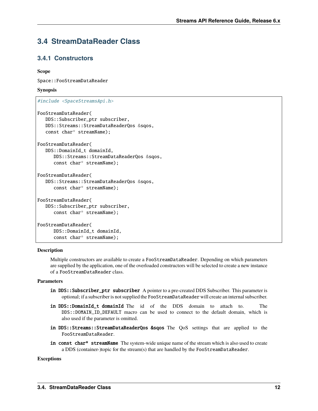# <span id="page-13-0"></span>**3.4 StreamDataReader Class**

# <span id="page-13-1"></span>**3.4.1 Constructors**

# **Scope**

Space::FooStreamDataReader

# **Synopsis**

```
#include <SpaceStreamsApi.h>
```

```
FooStreamDataReader(
  DDS::Subscriber_ptr subscriber,
  DDS::Streams::StreamDataReaderQos &sqos,
   const char* streamName);
```

```
FooStreamDataReader(
  DDS::DomainId_t domainId,
      DDS::Streams::StreamDataReaderQos &sqos,
      const char* streamName);
```

```
FooStreamDataReader(
  DDS::Streams::StreamDataReaderQos &sqos,
      const char* streamName);
```

```
FooStreamDataReader(
  DDS::Subscriber_ptr subscriber,
      const char* streamName);
```

```
FooStreamDataReader(
      DDS::DomainId_t domainId,
      const char* streamName);
```
# **Description**

Multiple constructors are available to create a FooStreamDataReader. Depending on which parameters are supplied by the application, one of the overloaded constructors will be selected to create a new instance of a FooStreamDataReader class.

# **Parameters**

- in DDS:: Subscriber\_ptr subscriber A pointer to a pre-created DDS Subscriber. This parameter is optional; if a subscriber is not supplied the FooStreamDataReader will create an internal subscriber.
- in DDS::DomainId\_t domainId The id of the DDS domain to attach to. The DDS::DOMAIN\_ID\_DEFAULT macro can be used to connect to the default domain, which is also used if the parameter is omitted.
- in DDS::Streams::StreamDataReaderQos &sqos The QoS settings that are applied to the FooStreamDataReader.
- in const char\* streamName The system-wide unique name of the stream which is also used to create a DDS (container-)topic for the stream(s) that are handled by the FooStreamDataReader.

# **Exceptions**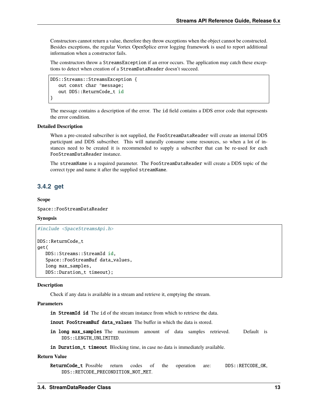Constructors cannot return a value, therefore they throw exceptions when the object cannot be constructed. Besides exceptions, the regular Vortex OpenSplice error logging framework is used to report additional information when a constructor fails.

The constructors throw a StreamsException if an error occurs. The application may catch these exceptions to detect when creation of a StreamDataReader doesn't succeed.

```
DDS::Streams::StreamsException {
   out const char *message;
   out DDS::ReturnCode_t id
}
```
The message contains a description of the error. The id field contains a DDS error code that represents the error condition.

# **Detailed Description**

When a pre-created subscriber is not supplied, the FooStreamDataReader will create an internal DDS participant and DDS subscriber. This will naturally consume some resources, so when a lot of instances need to be created it is recommended to supply a subscriber that can be re-used for each FooStreamDataReader instance.

The streamName is a required parameter. The FooStreamDataReader will create a DDS topic of the correct type and name it after the supplied streamName.

# <span id="page-14-0"></span>**3.4.2 get**

**Scope**

Space::FooStreamDataReader

#### **Synopsis**

```
#include <SpaceStreamsApi.h>
DDS::ReturnCode_t
get(
  DDS::Streams::StreamId id,
   Space::FooStreamBuf data_values,
```
long max\_samples, DDS::Duration\_t timeout);

# **Description**

Check if any data is available in a stream and retrieve it, emptying the stream.

## **Parameters**

in StreamId id The id of the stream instance from which to retrieve the data.

inout FooStreamBuf data\_values The buffer in which the data is stored.

in long max\_samples The maximum amount of data samples retrieved. Default is DDS::LENGTH\_UNLIMITED.

in Duration\_t timeout Blocking time, in case no data is immediately available.

#### **Return Value**

ReturnCode\_t Possible return codes of the operation are: DDS::RETCODE\_OK, DDS::RETCODE\_PRECONDITION\_NOT\_MET.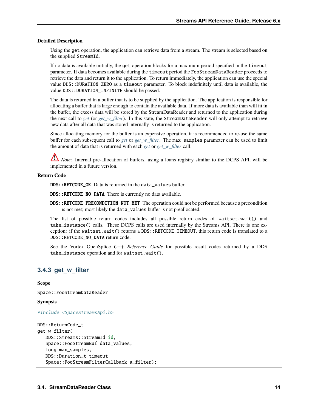## **Detailed Description**

Using the get operation, the application can retrieve data from a stream. The stream is selected based on the supplied StreamId.

If no data is available initially, the get operation blocks for a maximum period specified in the timeout parameter. If data becomes available during the timeout period the FooStreamDataReader proceeds to retrieve the data and return it to the application. To return immediately, the application can use the special value DDS::DURATION\_ZERO as a timeout parameter. To block indefinitely until data is available, the value DDS:: DURATION\_INFINITE should be passed.

The data is returned in a buffer that is to be supplied by the application. The application is responsible for allocating a buffer that is large enough to contain the available data. If more data is available than will fit in the buffer, the excess data will be stored by the StreamDataReader and returned to the application during the next call to *[get](#page-14-0)* (or *[get\\_w\\_filter](#page-15-0)*). In this state, the StreamDataReader will only attempt to retrieve new data after all data that was stored internally is returned to the application.

Since allocating memory for the buffer is an expensive operation, it is recommended to re-use the same buffer for each subsequent call to *[get](#page-14-0)* or *[get\\_w\\_filter](#page-15-0)*. The max\_samples parameter can be used to limit the amount of data that is returned with each *[get](#page-14-0)* or *[get\\_w\\_filter](#page-15-0)* call.

*Note*: Internal pre-allocation of buffers, using a loans registry similar to the DCPS API, will be implemented in a future version.

#### **Return Code**

DDS::RETCODE\_OK Data is returned in the data\_values buffer.

DDS::RETCODE\_NO\_DATA There is currently no data available.

DDS:: RETCODE\_PRECONDITION\_NOT\_MET The operation could not be performed because a precondition is not met; most likely the data\_values buffer is not preallocated.

The list of possible return codes includes all possible return codes of waitset.wait() and take\_instance() calls. These DCPS calls are used internally by the Streams API. There is one exception: if the waitset.wait() returns a DDS::RETCODE\_TIMEOUT, this return code is translated to a DDS::RETCODE\_NO\_DATA return code.

See the Vortex OpenSplice *C++ Reference Guide* for possible result codes returned by a DDS take\_instance operation and for waitset.wait().

# <span id="page-15-0"></span>**3.4.3 get\_w\_filter**

**Scope**

Space::FooStreamDataReader

### **Synopsis**

```
#include <SpaceStreamsApi.h>
DDS::ReturnCode_t
get_w_filter(
   DDS::Streams::StreamId id,
   Space::FooStreamBuf data_values,
   long max_samples,
   DDS::Duration_t timeout
```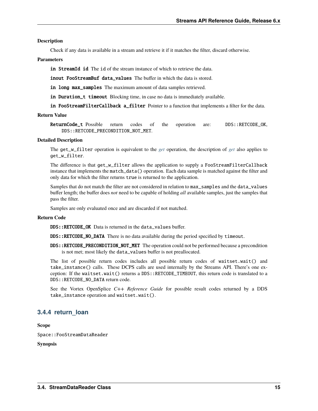## **Description**

Check if any data is available in a stream and retrieve it if it matches the filter, discard otherwise.

# **Parameters**

in StreamId id The id of the stream instance of which to retrieve the data.

inout FooStreamBuf data\_values The buffer in which the data is stored.

in long max\_samples The maximum amount of data samples retrieved.

in Duration\_t timeout Blocking time, in case no data is immediately available.

in FooStreamFilterCallback a\_filter Pointer to a function that implements a filter for the data.

## **Return Value**

ReturnCode\_t Possible return codes of the operation are: DDS::RETCODE\_OK, DDS::RETCODE\_PRECONDITION\_NOT\_MET.

#### **Detailed Description**

The get\_w\_filter operation is equivalent to the *[get](#page-14-0)* operation, the description of *[get](#page-14-0)* also applies to get\_w\_filter.

The difference is that get\_w\_filter allows the application to supply a FooStreamFilterCallback instance that implements the match\_data() operation. Each data sample is matched against the filter and only data for which the filter returns true is returned to the application.

Samples that do not match the filter are not considered in relation to max\_samples and the data\_values buffer length; the buffer does *not* need to be capable of holding *all* available samples, just the samples that pass the filter.

Samples are only evaluated once and are discarded if not matched.

#### **Return Code**

DDS::RETCODE\_OK Data is returned in the data\_values buffer.

DDS::RETCODE\_NO\_DATA There is no data available during the period specified by timeout.

DDS::RETCODE\_PRECONDITION\_NOT\_MET The operation could not be performed because a precondition is not met; most likely the data\_values buffer is not preallocated.

The list of possible return codes includes all possible return codes of waitset.wait() and take\_instance() calls. These DCPS calls are used internally by the Streams API. There's one exception: If the waitset.wait() returns a DDS::RETCODE\_TIMEOUT, this return code is translated to a DDS::RETCODE\_NO\_DATA return code.

See the Vortex OpenSplice *C++ Reference Guide* for possible result codes returned by a DDS take\_instance operation and waitset.wait().

# <span id="page-16-0"></span>**3.4.4 return\_loan**

**Scope**

Space::FooStreamDataReader

**Synopsis**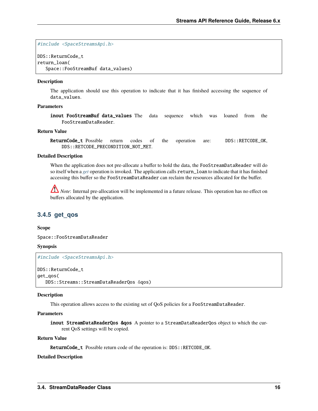#include <SpaceStreamsApi.h>

DDS::ReturnCode\_t return\_loan( Space::FooStreamBuf data\_values)

#### **Description**

The application should use this operation to indicate that it has finished accessing the sequence of data\_values.

# **Parameters**

inout FooStreamBuf data\_values The data sequence which was loaned from the FooStreamDataReader.

# **Return Value**

ReturnCode\_t Possible return codes of the operation are: DDS::RETCODE\_OK, DDS::RETCODE\_PRECONDITION\_NOT\_MET.

#### **Detailed Description**

When the application does not pre-allocate a buffer to hold the data, the FooStreamDataReader will do so itself when a *[get](#page-14-0)* operation is invoked. The application calls return\_loan to indicate that it has finished accessing this buffer so the FooStreamDataReader can reclaim the resources allocated for the buffer.

*Note*: Internal pre-allocation will be implemented in a future release. This operation has no effect on buffers allocated by the application.

# <span id="page-17-0"></span>**3.4.5 get\_qos**

## **Scope**

Space::FooStreamDataReader

#### **Synopsis**

```
#include <SpaceStreamsApi.h>
```

```
DDS::ReturnCode_t
get_qos(
   DDS::Streams::StreamDataReaderQos &qos)
```
#### **Description**

This operation allows access to the existing set of QoS policies for a FooStreamDataReader.

#### **Parameters**

inout StreamDataReaderQos &qos A pointer to a StreamDataReaderQos object to which the current QoS settings will be copied.

## **Return Value**

ReturnCode\_t Possible return code of the operation is: DDS::RETCODE\_OK.

## **Detailed Description**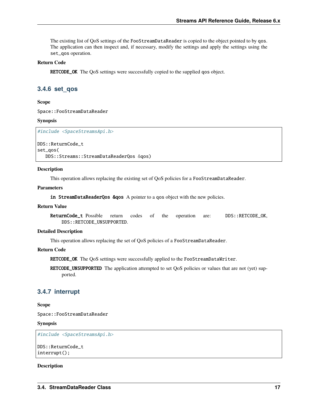The existing list of QoS settings of the FooStreamDataReader is copied to the object pointed to by qos. The application can then inspect and, if necessary, modify the settings and apply the settings using the set\_qos operation.

# **Return Code**

RETCODE\_OK The QoS settings were successfully copied to the supplied qos object.

# <span id="page-18-0"></span>**3.4.6 set\_qos**

**Scope**

Space::FooStreamDataReader

**Synopsis**

#include <SpaceStreamsApi.h>

DDS::ReturnCode\_t set\_qos( DDS::Streams::StreamDataReaderQos &qos)

#### **Description**

This operation allows replacing the existing set of QoS policies for a FooStreamDataReader.

# **Parameters**

in StreamDataReaderQos &qos A pointer to a qos object with the new policies.

#### **Return Value**

ReturnCode\_t Possible return codes of the operation are: DDS::RETCODE\_OK, DDS::RETCODE\_UNSUPPORTED.

### **Detailed Description**

This operation allows replacing the set of QoS policies of a FooStreamDataReader.

# **Return Code**

RETCODE\_OK The QoS settings were successfully applied to the FooStreamDataWriter.

RETCODE\_UNSUPPORTED The application attempted to set QoS policies or values that are not (yet) supported.

# <span id="page-18-1"></span>**3.4.7 interrupt**

## **Scope**

Space::FooStreamDataReader

## **Synopsis**

#include <SpaceStreamsApi.h>

```
DDS::ReturnCode_t
interrupt();
```
# **Description**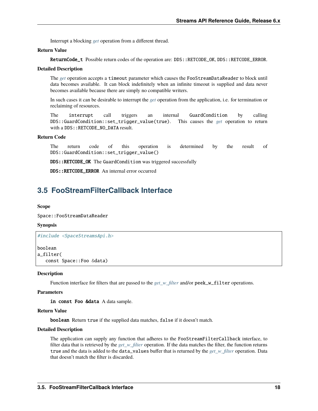Interrupt a blocking *[get](#page-14-0)* operation from a different thread.

# **Return Value**

ReturnCode\_t Possible return codes of the operation are: DDS::RETCODE\_OK, DDS::RETCODE\_ERROR.

#### **Detailed Description**

The *[get](#page-14-0)* operation accepts a timeout parameter which causes the FooStreamDataReader to block until data becomes available. It can block indefinitely when an infinite timeout is supplied and data never becomes available because there are simply no compatible writers.

In such cases it can be desirable to interrupt the *[get](#page-14-0)* operation from the application, i.e. for termination or reclaiming of resources.

The interrupt call triggers an internal GuardCondition by calling DDS::GuardCondition::set\_trigger\_value(true). This causes the *[get](#page-14-0)* operation to return with a DDS:: RETCODE\_NO\_DATA result.

# **Return Code**

The return code of this operation is determined by the result of DDS::GuardCondition::set\_trigger\_value()

DDS::RETCODE\_OK The GuardCondition was triggered successfully

DDS::RETCODE\_ERROR An internal error occurred

# <span id="page-19-0"></span>**3.5 FooStreamFilterCallback Interface**

#### **Scope**

Space::FooStreamDataReader

# **Synopsis**

#include <SpaceStreamsApi.h>

```
boolean
a_filter(
   const Space::Foo &data)
```
#### **Description**

Function interface for filters that are passed to the *[get\\_w\\_filter](#page-15-0)* and/or peek\_w\_filter operations.

#### **Parameters**

in const Foo &data A data sample.

## **Return Value**

boolean Return true if the supplied data matches, false if it doesn't match.

#### **Detailed Description**

The application can supply any function that adheres to the FooStreamFilterCallback interface, to filter data that is retrieved by the *[get\\_w\\_filter](#page-15-0)* operation. If the data matches the filter, the function returns true and the data is added to the data\_values buffer that is returned by the *[get\\_w\\_filter](#page-15-0)* operation. Data that doesn't match the filter is discarded.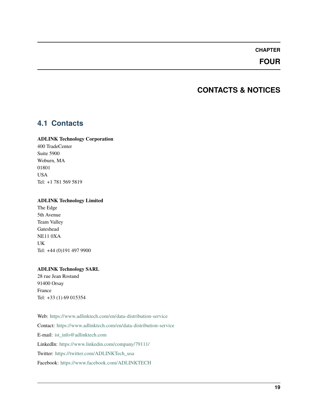# **CHAPTER**

# **FOUR**

# **CONTACTS & NOTICES**

# <span id="page-20-1"></span><span id="page-20-0"></span>**4.1 Contacts**

## **ADLINK Technology Corporation**

400 TradeCenter Suite 5900 Woburn, MA 01801 USA Tel: +1 781 569 5819

# **ADLINK Technology Limited**

The Edge 5th Avenue Team Valley Gateshead NE11 0XA UK Tel: +44 (0)191 497 9900

# **ADLINK Technology SARL**

28 rue Jean Rostand 91400 Orsay France Tel: +33 (1) 69 015354

Web: <https://www.adlinktech.com/en/data-distribution-service> Contact: <https://www.adlinktech.com/en/data-distribution-service> E-mail: [ist\\_info@adlinktech.com](mailto:ist_info@adlinktech.com) LinkedIn: <https://www.linkedin.com/company/79111/> Twitter: [https://twitter.com/ADLINKTech\\_usa](https://twitter.com/ADLINKTech_usa) Facebook: <https://www.facebook.com/ADLINKTECH>